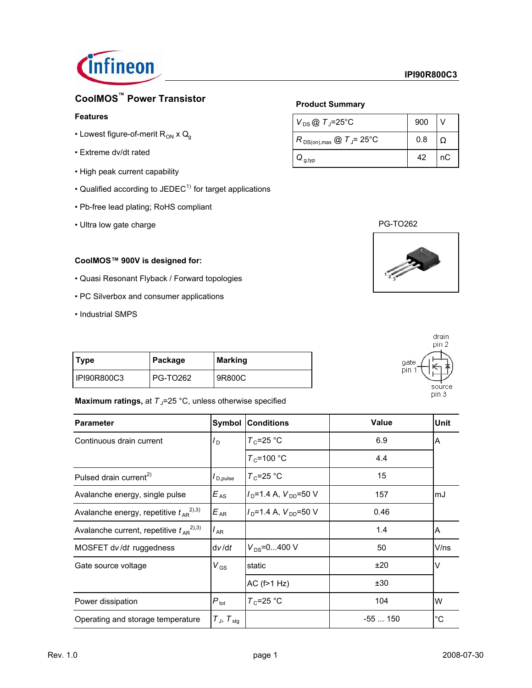

# **CoolMOS™ Power Transistor**

### **Features**

- Lowest figure-of-merit  $R_{ON}$  x  $Q_g$
- Extreme dv/dt rated
- High peak current capability
- Qualified according to  $JEDEC<sup>1</sup>$  for target applications
- Pb-free lead plating; RoHS compliant
- Ultra low gate charge

### **CoolMOS™ 900V is designed for:**

- Quasi Resonant Flyback / Forward topologies
- PC Silverbox and consumer applications
- Industrial SMPS

|  |  | <b>Product Summary</b> |  |
|--|--|------------------------|--|
|  |  |                        |  |

| $V_{DS}$ @ $T_{J}$ =25°C                        | 900 |    |
|-------------------------------------------------|-----|----|
| $R_{DS(on),max}$ @ $T_{\rm J}$ = 25°C           | 0.8 |    |
| $\boldsymbol{\omega}_{\mathsf{g},\mathsf{typ}}$ | 42  | nC |







| <b>Type</b>   | Package         | Marking |
|---------------|-----------------|---------|
| I IPI90R800C3 | <b>PG-TO262</b> | 19R800C |

### **Maximum ratings, at**  $T<sub>J</sub>=25$  **°C, unless otherwise specified**

| <b>Parameter</b>                                | Symbol                                   | <b>Conditions</b>    | <b>Value</b> | <b>Unit</b> |
|-------------------------------------------------|------------------------------------------|----------------------|--------------|-------------|
| Continuous drain current                        | $I_{\mathsf{D}}$                         | $T_c$ =25 °C         | 6.9          | A           |
|                                                 |                                          | $T_c$ =100 °C        | 4.4          |             |
| Pulsed drain current <sup>2)</sup>              | $\mathsf{I}_{\mathsf{D},\mathsf{pulse}}$ | $T_c$ =25 °C         | 15           |             |
| Avalanche energy, single pulse                  | $E_{AS}$                                 | $ID=1.4 A, VDD=50 V$ | 157          | lmJ         |
| Avalanche energy, repetitive $t_{AR}^{(2),3)}$  | $E_{AR}$                                 | $ID=1.4 A, VDD=50 V$ | 0.46         |             |
| Avalanche current, repetitive $t_{AR}^{(2),3)}$ | $I_{AR}$                                 |                      | 1.4          | A           |
| MOSFET dv/dt ruggedness                         | dv/dt                                    | $V_{DS} = 0400$ V    | 50           | V/ns        |
| Gate source voltage                             | $V_{GS}$                                 | static               | ±20          | $\vee$      |
|                                                 |                                          | $AC$ ( $f > 1$ Hz)   | ±30          |             |
| Power dissipation                               | $P_{\text{tot}}$                         | $T_c$ =25 °C         | 104          | W           |
| Operating and storage temperature               | $T_{\text{J}}$ , $T_{\text{stg}}$        |                      | $-55150$     | $^{\circ}C$ |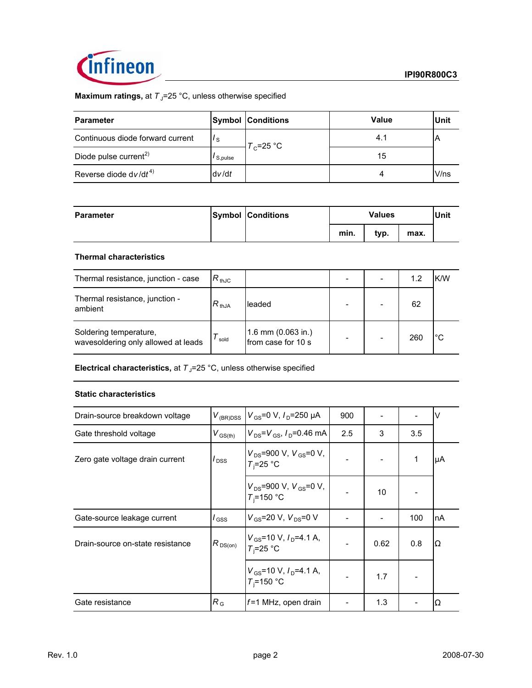

# **Maximum ratings, at T<sub>J</sub>=25 °C, unless otherwise specified**

| <b>Parameter</b>                  |         | <b>Symbol Conditions</b> | Value | <b>Unit</b> |
|-----------------------------------|---------|--------------------------|-------|-------------|
| Continuous diode forward current  | ' s     |                          | 4.1   |             |
| Diode pulse current <sup>2)</sup> | S,pulse | $T_c$ =25 °C             | 15    |             |
| Reverse diode $dv/dt^{4}$         | dv/dt   |                          |       | V/ns        |

| <b>Parameter</b> | <b>Symbol Conditions</b> |      | <b>Values</b> |      |  |
|------------------|--------------------------|------|---------------|------|--|
|                  |                          | min. | typ.          | max. |  |

### **Thermal characteristics**

| Thermal resistance, junction - case                           | $R_{thJC}$ |                                          |  | 1.2 | K/W |
|---------------------------------------------------------------|------------|------------------------------------------|--|-----|-----|
| Thermal resistance, junction -<br>ambient                     | $R_{thJA}$ | leaded                                   |  | 62  |     |
| Soldering temperature,<br>wavesoldering only allowed at leads | sold       | 1.6 mm (0.063 in.)<br>from case for 10 s |  | 260 | °C  |

**Electrical characteristics, at**  $T_{\text{J}}$ **=25 °C, unless otherwise specified** 

### **Static characteristics**

| Drain-source breakdown voltage   | $V_{(BR)DSS}$       | $V_{\rm GS} = 0 \text{ V}, I_{\rm D} = 250 \text{ }\mu\text{A}$ | 900 |      |     | V  |
|----------------------------------|---------------------|-----------------------------------------------------------------|-----|------|-----|----|
| Gate threshold voltage           | $V_{\text{GS(th)}}$ | $V_{DS} = V_{GS}$ , $I_{D} = 0.46$ mA                           | 2.5 | 3    | 3.5 |    |
| Zero gate voltage drain current  | l <sub>DSS</sub>    | $V_{DS}$ =900 V, $V_{GS}$ =0 V,<br>$T_i = 25$ °C                |     |      | 1   | μA |
|                                  |                     | $V_{DS}$ =900 V, $V_{GS}$ =0 V,<br>$T_i = 150$ °C               |     | 10   |     |    |
| Gate-source leakage current      | $\prime$ GSS        | $V_{GS}$ =20 V, $V_{DS}$ =0 V                                   |     |      | 100 | nA |
| Drain-source on-state resistance | $R_{DS(on)}$        | $V_{GS}$ =10 V, $I_D$ =4.1 A,<br>$T_i = 25$ °C                  |     | 0.62 | 0.8 | Ω  |
|                                  |                     | $V_{\text{GS}}$ =10 V, $I_{\text{D}}$ =4.1 A,<br>$T_i = 150$ °C |     | 1.7  |     |    |
| Gate resistance                  | $R_{\rm G}$         | $f=1$ MHz, open drain                                           |     | 1.3  |     | Ω  |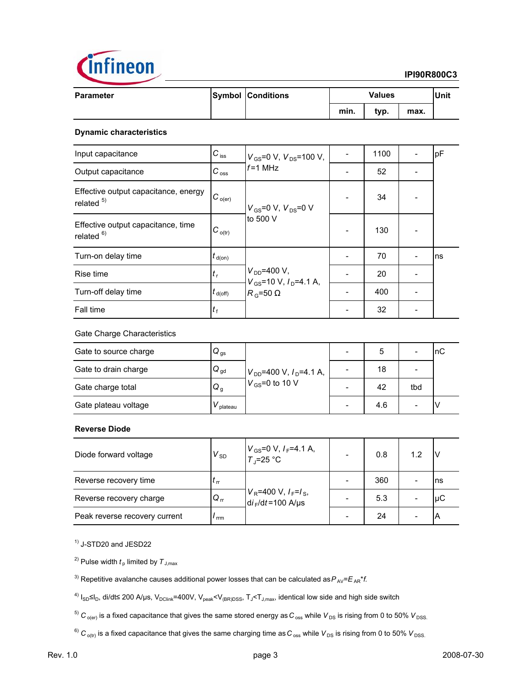

### **IPI90R800C3**

| <b>Parameter</b> | <b>Symbol Conditions</b> | <b>Values</b> |      |      | Unit |
|------------------|--------------------------|---------------|------|------|------|
|                  |                          | min.          | typ. | max. |      |

### **Dynamic characteristics**

| Input capacitance                                   | $C_{\text{iss}}$               | $V_{\rm GS}$ =0 V, $V_{\rm DS}$ =100 V,                     | 1100 | pF  |
|-----------------------------------------------------|--------------------------------|-------------------------------------------------------------|------|-----|
| Output capacitance                                  | $C_{\rm \,oss}$                | $f = 1$ MH $\overline{z}$                                   | 52   |     |
| Effective output capacitance, energy<br>related $5$ | $IC_{o(er)}$                   | $V_{GS}$ =0 V, $V_{DS}$ =0 V<br>to 500 V                    | 34   |     |
| Effective output capacitance, time<br>related $6$ ) | $C_{o(tr)}$                    |                                                             | 130  |     |
| Turn-on delay time                                  | $t_{\text{d}(on)}$             |                                                             | 70   | Ins |
| Rise time                                           | $t_{\rm r}$                    | $V_{DD} = 400 V,$                                           | 20   |     |
| Turn-off delay time                                 | $t_{\mathsf{d}(\mathsf{off})}$ | $V_{GS}$ =10 V, $I_{D}$ =4.1 A,<br>$R_{\rm G}$ =50 $\Omega$ | 400  |     |
| Fall time                                           | t,                             |                                                             | 32   |     |

### Gate Charge Characteristics

| Gate to source charge | $\mathsf{Q}_{\,\mathrm{gs}}$ |                                | 5   |     | пC |
|-----------------------|------------------------------|--------------------------------|-----|-----|----|
| Gate to drain charge  | $Q_{\text{gd}}$              | $V_{DD}$ =400 V, $I_D$ =4.1 A, | 18  |     |    |
| Gate charge total     | $Q_{\rm g}$                  | $V_{GS}$ =0 to 10 V            | 42  | tbd |    |
| Gate plateau voltage  | plateau                      |                                | 4.6 |     |    |

### **Reverse Diode**

| Diode forward voltage         | $V_{SD}$     | $V_{GS}$ =0 V, $I_F$ =4.1 A,<br>T <sub>J</sub> =25 °C                        | 0.8 | 1.2                      |     |
|-------------------------------|--------------|------------------------------------------------------------------------------|-----|--------------------------|-----|
| Reverse recovery time         | $l_{\rm rr}$ |                                                                              | 360 |                          | Ins |
| Reverse recovery charge       | $Q_{\rm tr}$ | $V_R$ =400 V, $I_F = I_S$ ,<br>d <i>i</i> <sub>F</sub> /d <i>t</i> =100 A/µs | 5.3 |                          | luC |
| Peak reverse recovery current | rrm          |                                                                              | 24  | $\overline{\phantom{0}}$ | IΑ  |

1) J-STD20 and JESD22

<sup>2)</sup> Pulse width  $t<sub>p</sub>$  limited by  $T<sub>J,max</sub>$ 

- <sup>3)</sup> Repetitive avalanche causes additional power losses that can be calculated as  $P_{AV} = E_{AB} * f$ .
- <sup>4)</sup>  $I_{SD}$ ≤ $I_D$ , di/dt≤ 200 A/µs, V<sub>DClink</sub>=400V, V<sub>peak</sub><V<sub>(BR)DSS</sub>, T<sub>J</sub><T<sub>J,max</sub>, identical low side and high side switch
- $^5)$   $C_{\text{o (er)}}$  is a fixed capacitance that gives the same stored energy as  $C_{\text{o ss}}$  while  $V_{DS}$  is rising from 0 to 50%  $V_{DSS}$ .

 $^{6)}$  C<sub>o(tr)</sub> is a fixed capacitance that gives the same charging time as C<sub>oss</sub> while V<sub>DS</sub> is rising from 0 to 50% V<sub>DSS.</sub>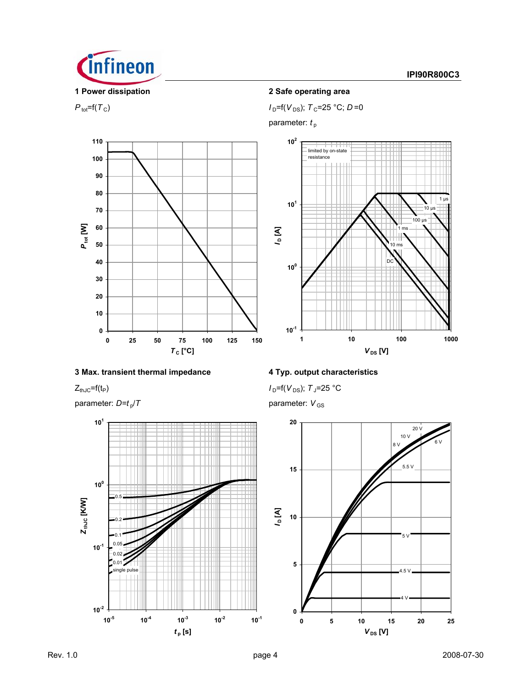

 $P_{\text{tot}}=f(T_{\text{C}})$  *I*<sub>D</sub>= $f(V_{\text{DS}})$ ; *T*<sub>C</sub>=25 °C; *D*=0

parameter:  $t_{\rm p}$ 





### **3 Max. transient thermal impedance 4 Typ. output characteristics**

parameter:  $D=t_p/T$  parameter:  $V_{GS}$ 



 $Z_{thJC} = f(t_P)$  *I*  $D = f(V_{DS})$ ; *T*<sub>J</sub>=25 °C

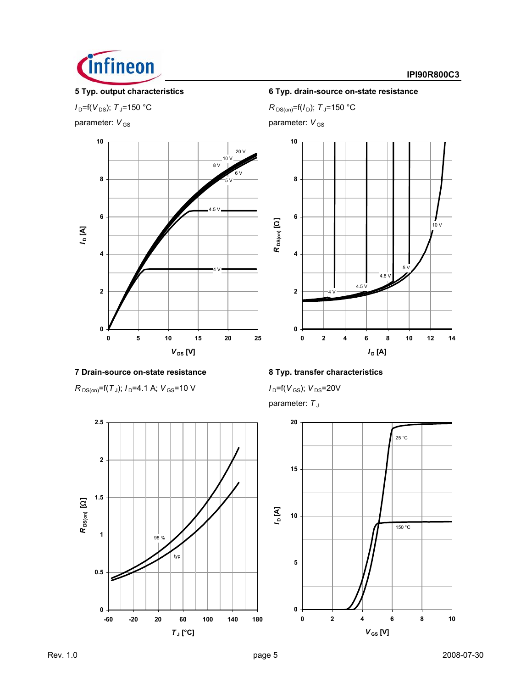

### **IPI90R800C3**

parameter:  $V_{\text{GS}}$  parameter: *V*<sub>GS</sub>



# **7 Drain-source on-state resistance 8 Typ. transfer characteristics**

 $R_{DS(on)}$ =f(*T*<sub>J</sub>); *I*<sub>D</sub>=4.1 A; *V*<sub>GS</sub>=10 V *I*<sub>D</sub>=f(*V*<sub>GS</sub>); *V*<sub>DS</sub>=20V



# **5 Typ. output characteristics 6 Typ. drain-source on-state resistance**

*I*<sub>D</sub>=f(*V*<sub>DS</sub>); *T*<sub>J</sub>=150 °C *R*<sub>DS(on)</sub>=f(*I*<sub>D</sub>); *T*<sub>J</sub>=150 °C



parameter: T<sub>J</sub>

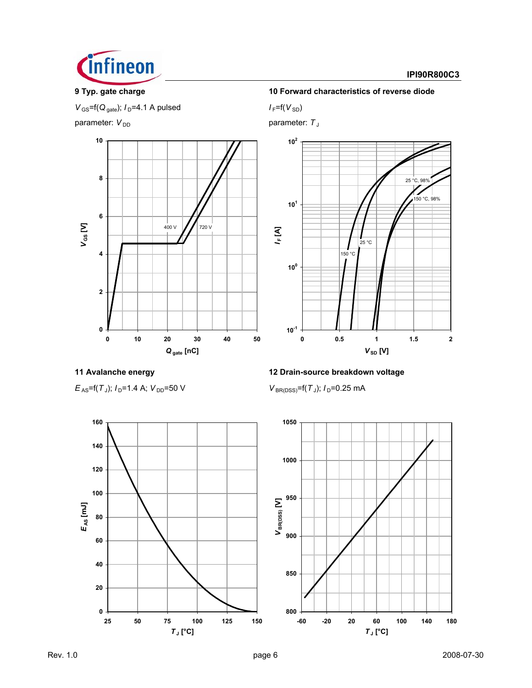

### **IPI90R800C3**

 $V_{\text{GS}}$ =f( $Q_{\text{gate}}$ );  $I_{\text{D}}$ =4.1 A pulsed  $I_{\text{F}}$ =f( $V_{\text{SD}}$ )

parameter:  $V_{DD}$  parameter: *T*<sub>J</sub>



### **9 Typ. gate charge 10 Forward characteristics of reverse diode**



![](_page_5_Figure_11.jpeg)

# **11 Avalanche energy 12 Drain-source breakdown voltage**

![](_page_5_Figure_14.jpeg)

![](_page_5_Figure_15.jpeg)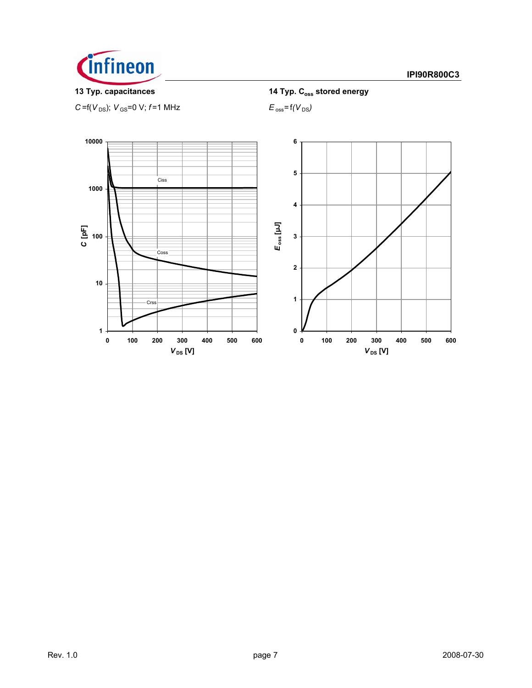![](_page_6_Picture_0.jpeg)

 $C = f(V_{DS})$ ;  $V_{GS} = 0$  V;  $f = 1$  MHz  $E_{oss} = f(V_{DS})$ 

**13 Typ. capacitances** 14 Typ. C<sub>oss</sub> stored energy

![](_page_6_Figure_6.jpeg)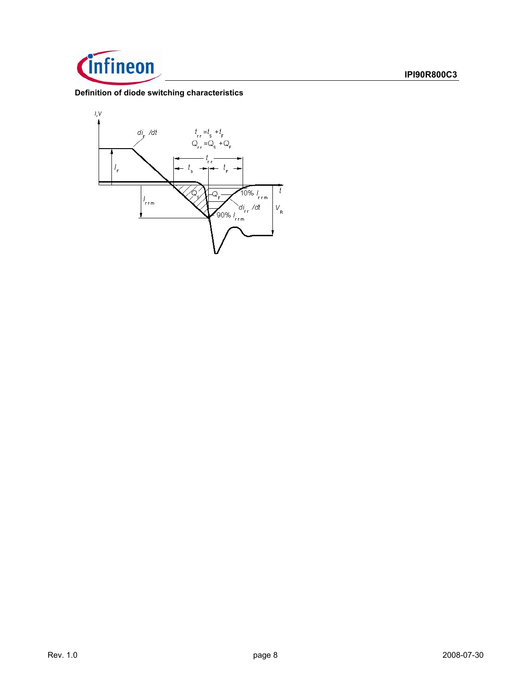![](_page_7_Picture_0.jpeg)

### **Definition of diode switching characteristics**

![](_page_7_Figure_3.jpeg)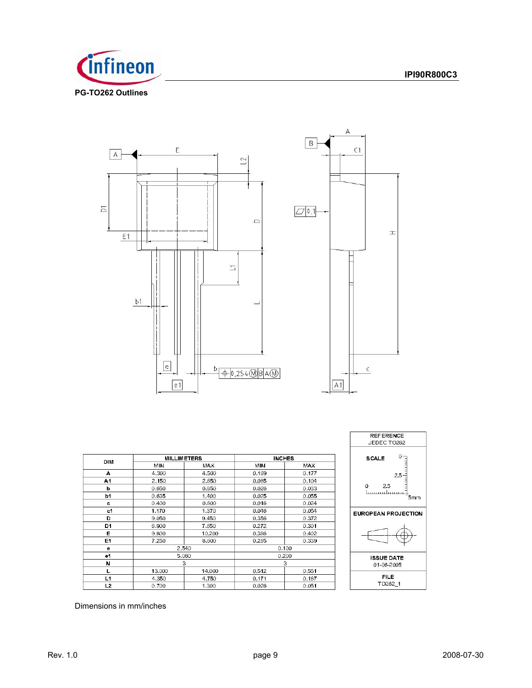![](_page_8_Picture_1.jpeg)

![](_page_8_Figure_2.jpeg)

![](_page_8_Figure_3.jpeg)

| DIM            | <b>MILLIMETERS</b> |            | <b>INCHES</b> |            |
|----------------|--------------------|------------|---------------|------------|
|                | <b>MIN</b>         | <b>MAX</b> | <b>MIN</b>    | <b>MAX</b> |
| А              | 4.300              | 4.500      | 0.169         | 0.177      |
| A1             | 2.150              | 2.650      | 0.085         | 0.104      |
| b              | 0.650              | 0.850      | 0.026         | 0.033      |
| b <sub>1</sub> | 0.635              | 1.400      | 0.025         | 0.055      |
| с              | 0.400              | 0.600      | 0.016         | 0.024      |
| c1             | 1.170              | 1.370      | 0.046         | 0.054      |
| D              | 9.050              | 9.450      | 0.356         | 0.372      |
| D <sub>1</sub> | 6.900              | 7.650      | 0.272         | 0.301      |
| Е              | 9.800              | 10.200     | 0.386         | 0.402      |
| E1             | 7.250              | 8.600      | 0.285         | 0.339      |
| $\bullet$      | 2.540              |            | 0.100         |            |
| e1             | 5.080              |            | 0.200         |            |
| N              | 3                  |            | 3             |            |
|                | 13.000             | 14.000     | 0.512         | 0.551      |
| L1             | 4.350              | 4.750      | 0.171         | 0.187      |
| L <sub>2</sub> | 0.700              | 1.300      | 0.028         | 0.051      |

![](_page_8_Figure_5.jpeg)

Dimensions in mm/inches